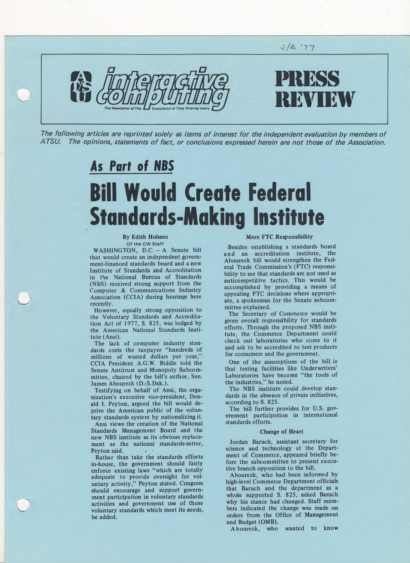

The following articles are reprinted solely as items of interest for the independent evaluation by members of A TSU. The opinions, statements of fact, or conclusions expressed herein are not those of the Association.

## As Part of NBS Bill Would Create Federal Standards-Making Institute

#### By Edith Holmes Of the CW Staff

WASHINGTON, D.C. - A Senate bill that would create an independent government-financed standards board and a new Institute of Standards and Accreditation in the National Bureau of Standards (NBS) received strong support from the Computer & Communications Industry Association (CCIA) during hearings here recently.

However, equally strong opposition to the Voluntary Standards and Accreditation Act of 1977, S. 825, was lodged by the American National Standards Institute (Ansi).

The lack of computer industry standards costs the taxpayer "hundreds of millions of wasted dollars per year,' CCIA President A.G.W. Biddle told the Senate Antitrust and Monopoly Subcom mittee, chaired by the bill's author, Sen. James Abourezk (D.-S.Dak.).

Testifying on behalf of Ansi, the organization's executive vice-president, Don ald I. Peyton, argued the bill would deprive the American public of the voluntary standards system by nationalizing it.

Ansi views the creation of the National Standards Management Board and the new NBS institute as its obvious replacement as the national standards-setter, Peyton said.

Rather than take the standards efforts in-house, the government should fairly enforce existing laws "which are totally adequate to provide oversight for voluntary activity," Peyton stated. Congress should encourage and support government participation in voluntary standards activities and government use of those voluntary standards which meet its needs, he added.

### More FTC Responsibility

Besides establishing a standards board and an accreditation institute, the Abourezk bill would strengthen the Fed eral Trade Commission's (FTC) responsibility to see that standards are not used as anticompetitive tactics. This would be accomplished by providing a means of appealing FTC decisions where appropriate, a spokesman for the Senate subcommittee explained.

The Secretary of Commerce would be given overall responsibility for standards efforts. Through the proposed NBS institute, the Commerce Department could check out laboratories who come to it and ask to be accredited to test products for consumers and the government.

One of the assumptions of the bill is that testing facilities like Underwriters' Laboratories have become "the tools of the industries," he noted.

The NBS institute could develop standards in the absence of private initiatives, according to S. 825.

The bill further provides for U.S. government participation in international standards efforts.

#### Change of Heart

Jordan Baruch, assistant secretary for science and technology at the Department of Commerce, appeared briefly before the subcommittee to present executive branch opposition to the bill.

Abourezk, who had been informed by high-level Commerce Department officials that Baruch and the department as a whole supported S. 825, asked Baruch why his stance had changed. Staff members indicated the change was made on orders from the Office of Management and Budget (OMB).

Abourezk, who wanted to know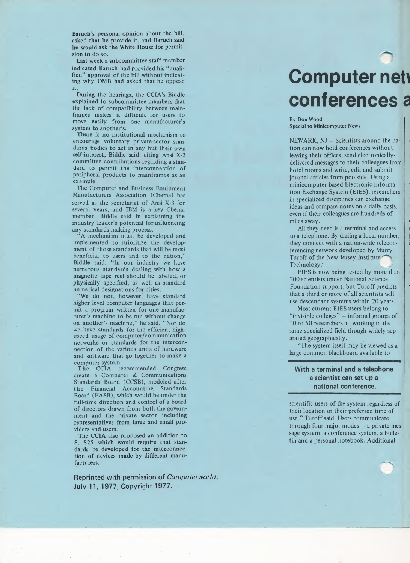Baruch's personal opinion about the bill, asked that he provide it, and Baruch said he would ask the White House for permission to do so.

Last week a subcommittee staff member indicated Baruch had provided.his "qualified" approval of the bill without indicating why OMB had asked that he oppose it,

During the hearings, the CCIA's Biddle explained to subcommittee members that the lack of compatibility between mainframes makes it difficult for users to move easily from one manufacturer's system to another's.

There is no institutional mechanism to encourage voluntary private-sector standards bodies to act in any but their own self-interest, Biddle said, citing Ansi X-3 committee contributions regarding a standard to permit the interconnection of peripheral products to mainframes as an example.

The Computer and Business Equipment Manufacturers Association (Cbema) has served as the secretariat of Ansi X-3 for several years, and IBM is a key Cbema member, Biddle said in explaining the industry leader's potential for influencing any standards-making process.

"A mechanism must be developed and implemented to prioritize the development of those standards that will be most beneficial to users and to the nation," Biddle said. "In our industry we have numerous standards dealing with how a magnetic tape reel should be labeled, or physically specified, as well as standard numerical designations for cities.

"We do not, however, have standard higher level computer languages that perinit a program written for one manufacturer's machine to be run without change on another's machine," he said. "Nor do we have standards for the efficient highspeed usage of computer/communication networks or standards for the interconnection of the various units of hardware and software that go together to make a computer system.

The CCIA recommended Congress create a Computer & Communications Standards Board (CCSB), modeled after the Financial Accounting Standards Board (FASB), which would be under the full-time direction and control of a board of directors drawn from both the government and the private sector, including representatives from large and small providers and users.

The CCIA also proposed an addition to S. 825 which would require that standards be developed for the interconnection of devices made by different manufacturers.

Reprinted with permission of Computerworld, July 11, 1977, Copyright 1977.

## **Computer nett** conferences a

By Don Wood Special to Minicomputer News

NEWARK, NJ - Scientists around the na tion can now hold conferences without <sup>&</sup>lt; leaving their offices, send electronicallydelivered messages to their colleagues from hotel rooms and write, edit and submit journal articles from poolside. Using a minicomputer-based Electronic Informa- ' tion Exchange System (EIES), researchers <sup>1</sup> in specialized disciplines can exchange ideas and compare notes on a daily basis, even if their colleagues are hundreds of miles away.

i

ł

i

i

1

ı

All they need is a terminal and access to a telephone. By dialing a local number, they connect with a nation-wide teleconferencing network developed by Murry Turoff of the New Jersey Institute Technology.

EIES is now being tested by more than 200 scientists under National Science Foundation support, but Turoff predicts that a third or more of all scientists will  $\|\cdot\|$ use descendant systems within 20 years.

Most current EIES users belong to "invisible colleges" — informal groups of 10 to 50 researchers all working in the same specialized field though widely separated geographically.

"The system itself may be viewed as a large common blackboard available to

### With a terminal and a telephone a scientist can set up a national conference.

scientific users of the system regardless of their location or their preferred time of use," Turoff said. Users communicate through four major modes - a private message system, a conference system, a bulletin and a personal notebook. Additional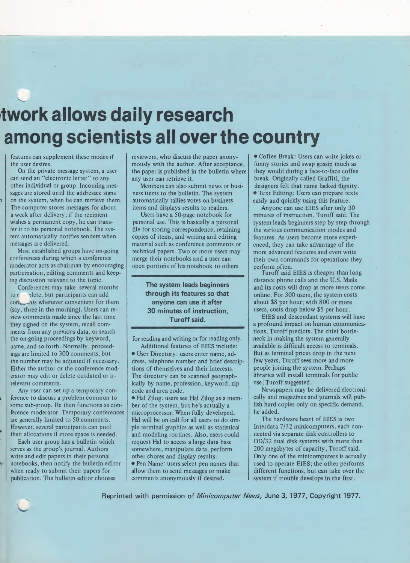### twork allows daily research among scientists all overthe country

features can supplement these modes if the user desires.

On the private message system, a user can send an "electronic letter" to any other individual or group. Incoming messages are stored until the addressee signs on the system, when he can retrieve them. The computer stores messages for about a week after delivery; if the recipient wishes a permanent copy, he can transfer it to his personal notebook. The system automatically notifies senders when messages are delivered.

Most established groups have on-going conferences during which a conference moderator acts as chairman by encouraging participation, editing comments and keeping discussion relevant to the topic.

Conferences may take several months to c olete, but participants can add con hts whenever convenient for them (say, three in the morning). Users can review comments made since the last time they signed on the system, recall comments from any previous data, or search the on-going proceedings by keyword, name, and so forth. Normally, proceedings are limited to 300 comments, but the number may be adjusted if necessary. Either the author or the conference moderator may edit or delete outdated or irrelevant comments.

Any user can set up a temporary conference to discuss a problem common to some sub-group. He then functions as conference moderator. Temporary conferences are generally limited to 50 comments. However, several participants can pool their allocations if more space is needed.

Each user group has a bulletin which serves as the group's journal. Authors write and edit papers in their personal notebooks, then notify the bulletin editor when ready to submit their papers for publication. The bulletin editor chooses

reviewers, who discuss the paper anonymously with the author. After acceptance, the paper is published in the bulletin where any user can retrieve it.

Members can also submit news or business items to the bulletin. The system automatically tallies votes on business items and displays results to readers.

Users have a 50-page notebook for personal use. This is basically a personal file for storing correspondence, retaining copies of items, and writing and editing material such as conference comments or technical papers. Two or more users may merge their notebooks and a user can open portions of his notebook to others

The system leads beginners through its features so that anyone can use it after 30 minutes of instruction, Turoff said.

for reading and writing or for reading only. Additional features of EIES include:

• User Directory: users enter name, address, telephone number and brief descriptions of themselves and their interests. The directory can be scanned geographically by name, profession, keyword, zip code and area code.

• Hal Zilog: users see Hal Zilog as <sup>a</sup> mem ber of the system, but he's actually a microprocessor. When fully developed, Hal will be on call for all users to do simple terminal graphics as well as statistical and modeling routines. Also, users could request Hal to access a large data base somewhere, manipulate data, perform other chores and display results.

• Pen Name: users select pen names that allow them to send messages or make comments anonymously if desired.

• Coffee Break: Users can write jokes or funny stories and swap gossip much as they would during a face-to-face coffee break. Originally called Graffiti, the designers felt that name lacked dignity. • Text Editing: Users can prepare texts easily and quickly using this feature.

Anyone can use EIES after only 30 minutes of instruction, Turoff said. The system leads beginners step by step through the various communication modes and features. As users become more experienced, they can take advantage of the more advanced features and even write their own commands for operations they perform often.

Turoff said EIES is cheaper than long distance phone calls and the U.S. Mails and its costs will drop as more users come online. For 300 users, the system costs about \$8 per hour; with 800 or more users, costs drop below \$5 per hour.

EIES and descendant systems will have a profound impact on human communications, Turoff predicts. The chief bottleneck in making the system generally available is difficult access to terminals. But as terminal prices drop in the next few years, Turoff sees more and more people joining the system. Perhaps libraries will install terminals for public use; Turoff suggested.

Newspapers may be delivered electronically and magazines and journals will publish hard copies only on specific demand, he added.

The hardware heart of EIES is two Interdata 7/32 minicomputers, each con nected via separate disk controllers to DD/32 dual disk systems with more than 200 megabytes of capacity, Turoff said. Only one of the minicomputers is actually used to operate EIES; the other performs different functions, but can take over the system if trouble develops in the first.

Reprinted with permission of Minicomputer News, June 3, 1977, Copyright 1977.